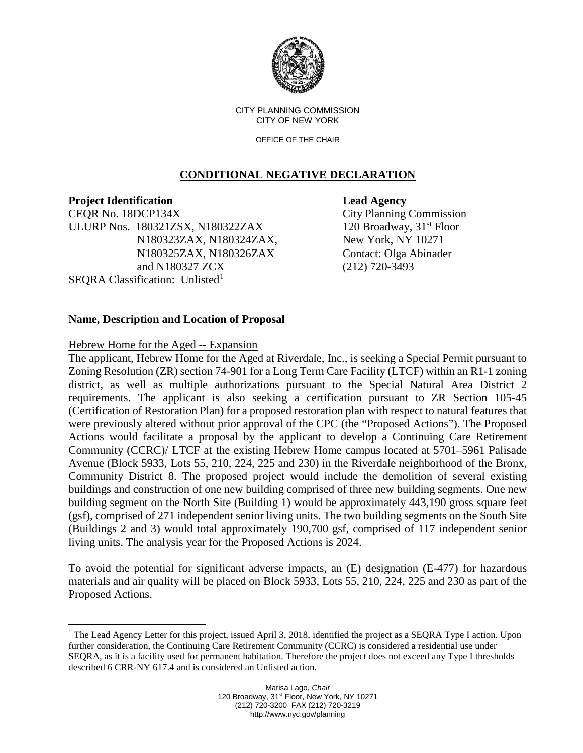

CITY PLANNING COMMISSION CITY OF NEW YORK

OFFICE OF THE CHAIR

# **CONDITIONAL NEGATIVE DECLARATION**

**Project Identification Lead Agency** 

CEQR No. 18DCP134X City Planning Commission ULURP Nos. 180321ZSX, N180322ZAX 120 Broadway, 31<sup>st</sup> Floor N180323ZAX, N180324ZAX, New York, NY 10271 N180325ZAX, N180326ZAX Contact: Olga Abinader and N180327 ZCX (212) 720-3493 SEORA Classification: Unlisted $<sup>1</sup>$  $<sup>1</sup>$  $<sup>1</sup>$ </sup>

# **Name, Description and Location of Proposal**

## Hebrew Home for the Aged -- Expansion

The applicant, Hebrew Home for the Aged at Riverdale, Inc., is seeking a Special Permit pursuant to Zoning Resolution (ZR) section 74-901 for a Long Term Care Facility (LTCF) within an R1-1 zoning district, as well as multiple authorizations pursuant to the Special Natural Area District 2 requirements. The applicant is also seeking a certification pursuant to ZR Section 105-45 (Certification of Restoration Plan) for a proposed restoration plan with respect to natural features that were previously altered without prior approval of the CPC (the "Proposed Actions"). The Proposed Actions would facilitate a proposal by the applicant to develop a Continuing Care Retirement Community (CCRC)/ LTCF at the existing Hebrew Home campus located at 5701–5961 Palisade Avenue (Block 5933, Lots 55, 210, 224, 225 and 230) in the Riverdale neighborhood of the Bronx, Community District 8. The proposed project would include the demolition of several existing buildings and construction of one new building comprised of three new building segments. One new building segment on the North Site (Building 1) would be approximately 443,190 gross square feet (gsf), comprised of 271 independent senior living units. The two building segments on the South Site (Buildings 2 and 3) would total approximately 190,700 gsf, comprised of 117 independent senior living units. The analysis year for the Proposed Actions is 2024.

To avoid the potential for significant adverse impacts, an (E) designation (E-477) for hazardous materials and air quality will be placed on Block 5933, Lots 55, 210, 224, 225 and 230 as part of the Proposed Actions.

<span id="page-0-0"></span><sup>&</sup>lt;sup>1</sup> The Lead Agency Letter for this project, issued April 3, 2018, identified the project as a SEQRA Type I action. Upon further consideration, the Continuing Care Retirement Community (CCRC) is considered a residential use under SEQRA, as it is a facility used for permanent habitation. Therefore the project does not exceed any Type I thresholds described 6 CRR-NY 617.4 and is considered an Unlisted action.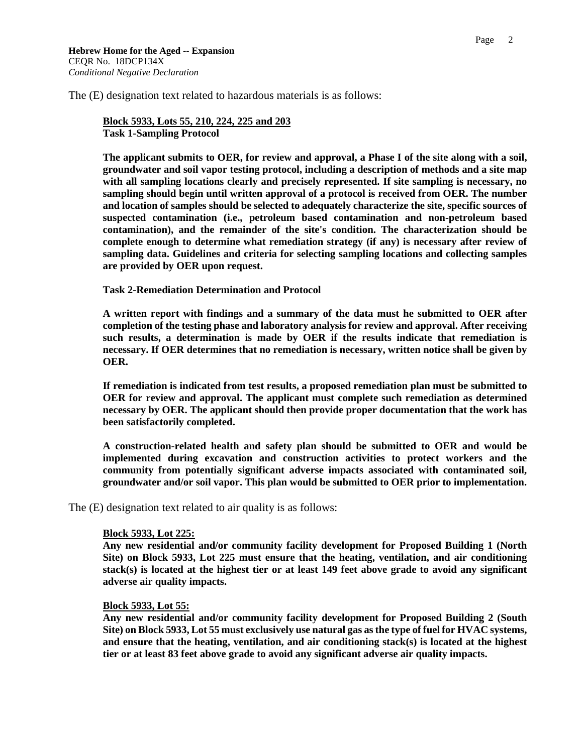**Hebrew Home for the Aged -- Expansion** CEQR No. 18DCP134X *Conditional Negative Declaration*

The (E) designation text related to hazardous materials is as follows:

**Block 5933, Lots 55, 210, 224, 225 and 203 Task 1-Sampling Protocol**

**The applicant submits to OER, for review and approval, a Phase I of the site along with a soil, groundwater and soil vapor testing protocol, including a description of methods and a site map with all sampling locations clearly and precisely represented. If site sampling is necessary, no sampling should begin until written approval of a protocol is received from OER. The number and location of samples should be selected to adequately characterize the site, specific sources of suspected contamination (i.e., petroleum based contamination and non-petroleum based contamination), and the remainder of the site's condition. The characterization should be complete enough to determine what remediation strategy (if any) is necessary after review of sampling data. Guidelines and criteria for selecting sampling locations and collecting samples are provided by OER upon request.**

#### **Task 2-Remediation Determination and Protocol**

**A written report with findings and a summary of the data must he submitted to OER after completion of the testing phase and laboratory analysis for review and approval. After receiving such results, a determination is made by OER if the results indicate that remediation is necessary. If OER determines that no remediation is necessary, written notice shall be given by OER.**

**If remediation is indicated from test results, a proposed remediation plan must be submitted to OER for review and approval. The applicant must complete such remediation as determined necessary by OER. The applicant should then provide proper documentation that the work has been satisfactorily completed.**

**A construction-related health and safety plan should be submitted to OER and would be implemented during excavation and construction activities to protect workers and the community from potentially significant adverse impacts associated with contaminated soil, groundwater and/or soil vapor. This plan would be submitted to OER prior to implementation.**

The (E) designation text related to air quality is as follows:

### **Block 5933, Lot 225:**

**Any new residential and/or community facility development for Proposed Building 1 (North Site) on Block 5933, Lot 225 must ensure that the heating, ventilation, and air conditioning stack(s) is located at the highest tier or at least 149 feet above grade to avoid any significant adverse air quality impacts.**

#### **Block 5933, Lot 55:**

**Any new residential and/or community facility development for Proposed Building 2 (South Site) on Block 5933, Lot 55 must exclusively use natural gas as the type of fuel for HVAC systems, and ensure that the heating, ventilation, and air conditioning stack(s) is located at the highest tier or at least 83 feet above grade to avoid any significant adverse air quality impacts.**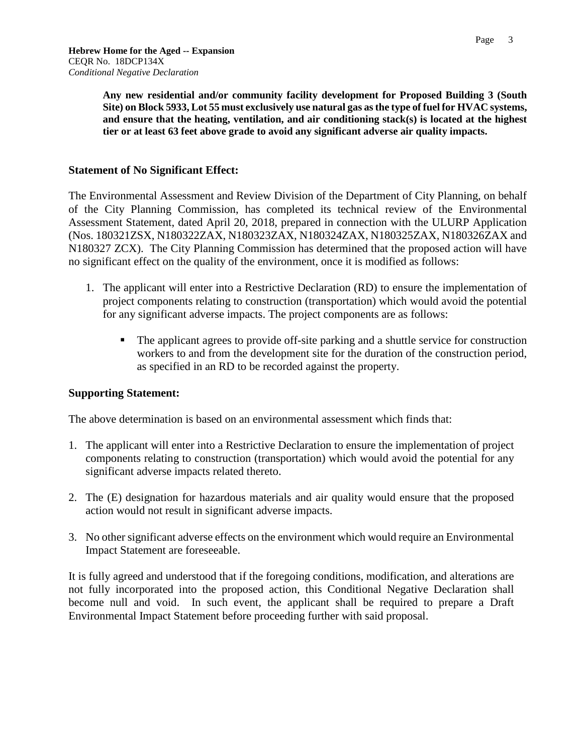**Any new residential and/or community facility development for Proposed Building 3 (South** 

**Site) on Block 5933, Lot 55 must exclusively use natural gas as the type of fuel for HVAC systems, and ensure that the heating, ventilation, and air conditioning stack(s) is located at the highest tier or at least 63 feet above grade to avoid any significant adverse air quality impacts.**

### **Statement of No Significant Effect:**

The Environmental Assessment and Review Division of the Department of City Planning, on behalf of the City Planning Commission, has completed its technical review of the Environmental Assessment Statement, dated April 20, 2018, prepared in connection with the ULURP Application (Nos. 180321ZSX, N180322ZAX, N180323ZAX, N180324ZAX, N180325ZAX, N180326ZAX and N180327 ZCX). The City Planning Commission has determined that the proposed action will have no significant effect on the quality of the environment, once it is modified as follows:

- 1. The applicant will enter into a Restrictive Declaration (RD) to ensure the implementation of project components relating to construction (transportation) which would avoid the potential for any significant adverse impacts. The project components are as follows:
	- The applicant agrees to provide off-site parking and a shuttle service for construction workers to and from the development site for the duration of the construction period, as specified in an RD to be recorded against the property.

## **Supporting Statement:**

The above determination is based on an environmental assessment which finds that:

- 1. The applicant will enter into a Restrictive Declaration to ensure the implementation of project components relating to construction (transportation) which would avoid the potential for any significant adverse impacts related thereto.
- 2. The (E) designation for hazardous materials and air quality would ensure that the proposed action would not result in significant adverse impacts.
- 3. No other significant adverse effects on the environment which would require an Environmental Impact Statement are foreseeable.

It is fully agreed and understood that if the foregoing conditions, modification, and alterations are not fully incorporated into the proposed action, this Conditional Negative Declaration shall become null and void. In such event, the applicant shall be required to prepare a Draft Environmental Impact Statement before proceeding further with said proposal.